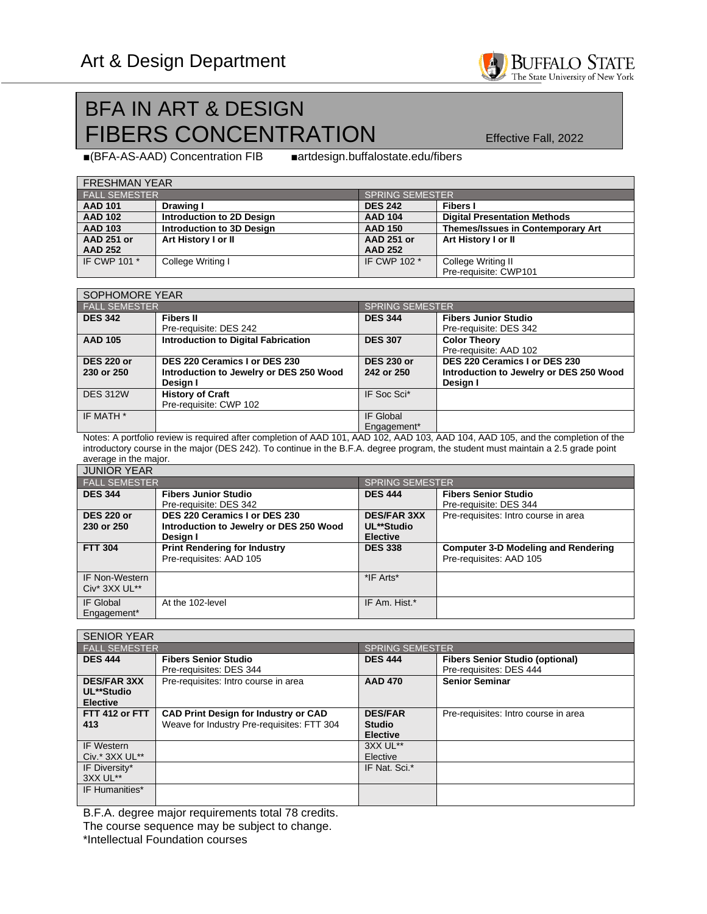

# BFA IN ART & DESIGN FIBERS CONCENTRATION Effective Fall, 2022

■(BFA-AS-AAD) Concentration FIB ■artdesign.buffalostate.edu/fibers

| <b>FRESHMAN YEAR</b> |                           |                   |                                          |  |  |  |
|----------------------|---------------------------|-------------------|------------------------------------------|--|--|--|
| <b>FALL SEMESTER</b> |                           | SPRING SEMESTER   |                                          |  |  |  |
| <b>AAD 101</b>       | Drawing I                 | <b>DES 242</b>    | <b>Fibers I</b>                          |  |  |  |
| <b>AAD 102</b>       | Introduction to 2D Design | <b>AAD 104</b>    | <b>Digital Presentation Methods</b>      |  |  |  |
| <b>AAD 103</b>       | Introduction to 3D Design | <b>AAD 150</b>    | <b>Themes/Issues in Contemporary Art</b> |  |  |  |
| <b>AAD 251 or</b>    | Art History I or II       | <b>AAD 251 or</b> | Art History I or II                      |  |  |  |
| <b>AAD 252</b>       |                           | <b>AAD 252</b>    |                                          |  |  |  |
| IF CWP 101 *         | College Writing I         | IF CWP 102 *      | College Writing II                       |  |  |  |
|                      |                           |                   | Pre-requisite: CWP101                    |  |  |  |

| SOPHOMORE YEAR                  |                                                                                      |                                 |                                                                                      |  |
|---------------------------------|--------------------------------------------------------------------------------------|---------------------------------|--------------------------------------------------------------------------------------|--|
| <b>FALL SEMESTER</b>            |                                                                                      | <b>SPRING SEMESTER</b>          |                                                                                      |  |
| <b>DES 342</b>                  | <b>Fibers II</b><br>Pre-requisite: DES 242                                           | <b>DES 344</b>                  | <b>Fibers Junior Studio</b><br>Pre-requisite: DES 342                                |  |
| <b>AAD 105</b>                  | <b>Introduction to Digital Fabrication</b>                                           | <b>DES 307</b>                  | <b>Color Theory</b><br>Pre-requisite: AAD 102                                        |  |
| <b>DES 220 or</b><br>230 or 250 | DES 220 Ceramics I or DES 230<br>Introduction to Jewelry or DES 250 Wood<br>Design I | <b>DES 230 or</b><br>242 or 250 | DES 220 Ceramics I or DES 230<br>Introduction to Jewelry or DES 250 Wood<br>Design I |  |
| <b>DES 312W</b>                 | <b>History of Craft</b><br>Pre-requisite: CWP 102                                    | IF Soc Sci*                     |                                                                                      |  |
| IF MATH *                       |                                                                                      | IF Global<br>Engagement*        |                                                                                      |  |

Notes: A portfolio review is required after completion of AAD 101, AAD 102, AAD 103, AAD 104, AAD 105, and the completion of the introductory course in the major (DES 242). To continue in the B.F.A. degree program, the student must maintain a 2.5 grade point average in the major.

| <b>JUNIOR YEAR</b>                                             |                                                                                      |                                                     |                                                                       |  |  |
|----------------------------------------------------------------|--------------------------------------------------------------------------------------|-----------------------------------------------------|-----------------------------------------------------------------------|--|--|
| <b>FALL SEMESTER</b>                                           |                                                                                      | <b>SPRING SEMESTER</b>                              |                                                                       |  |  |
| <b>DES 344</b>                                                 | <b>Fibers Junior Studio</b><br>Pre-requisite: DES 342                                | <b>DES 444</b>                                      | <b>Fibers Senior Studio</b><br>Pre-requisite: DES 344                 |  |  |
| <b>DES 220 or</b><br>230 or 250                                | DES 220 Ceramics I or DES 230<br>Introduction to Jewelry or DES 250 Wood<br>Desian I | <b>DES/FAR 3XX</b><br>UL**Studio<br><b>Elective</b> | Pre-requisites: Intro course in area                                  |  |  |
| <b>FTT 304</b>                                                 | <b>Print Rendering for Industry</b><br>Pre-requisites: AAD 105                       | <b>DES 338</b>                                      | <b>Computer 3-D Modeling and Rendering</b><br>Pre-requisites: AAD 105 |  |  |
| <b>IF Non-Western</b><br>Civ <sup>*</sup> 3XX UL <sup>**</sup> |                                                                                      | *IF Arts*                                           |                                                                       |  |  |
| IF Global<br>Engagement*                                       | At the 102-level                                                                     | IF Am. Hist.*                                       |                                                                       |  |  |

| <b>SENIOR YEAR</b>                                  |                                                                                           |                                                    |                                                                   |  |
|-----------------------------------------------------|-------------------------------------------------------------------------------------------|----------------------------------------------------|-------------------------------------------------------------------|--|
| <b>FALL SEMESTER</b>                                |                                                                                           | <b>SPRING SEMESTER</b>                             |                                                                   |  |
| <b>DES 444</b>                                      | <b>Fibers Senior Studio</b><br>Pre-requisites: DES 344                                    | <b>DES 444</b>                                     | <b>Fibers Senior Studio (optional)</b><br>Pre-requisites: DES 444 |  |
| <b>DES/FAR 3XX</b><br>UL**Studio<br><b>Elective</b> | Pre-requisites: Intro course in area                                                      | <b>AAD 470</b>                                     | <b>Senior Seminar</b>                                             |  |
| FTT 412 or FTT<br>413                               | <b>CAD Print Design for Industry or CAD</b><br>Weave for Industry Pre-requisites: FTT 304 | <b>DES/FAR</b><br><b>Studio</b><br><b>Elective</b> | Pre-requisites: Intro course in area                              |  |
| <b>IF Western</b><br>$Civ.* 3XX UL**$               |                                                                                           | 3XX UL**<br>Elective                               |                                                                   |  |
| IF Diversity*<br>3XX UL**                           |                                                                                           | IF Nat. Sci.*                                      |                                                                   |  |
| IF Humanities*                                      |                                                                                           |                                                    |                                                                   |  |

B.F.A. degree major requirements total 78 credits.

The course sequence may be subject to change.

\*Intellectual Foundation courses